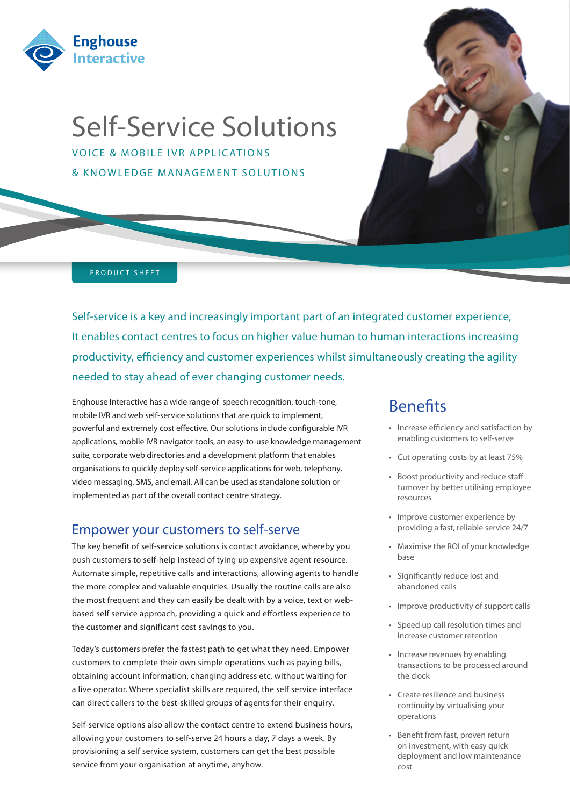

# Self-Service Solutions

VOICE & MOBILE IVR APPLICATIONS & KNOWLEDGE MANAGEMENT SOLUTIONS



#### PRODUCT SHEET

Self-service is a key and increasingly important part of an integrated customer experience, It enables contact centres to focus on higher value human to human interactions increasing productivity, efficiency and customer experiences whilst simultaneously creating the agility needed to stay ahead of ever changing customer needs.

Enghouse Interactive has a wide range of speech recognition, touch-tone, mobile IVR and web self-service solutions that are quick to implement, powerful and extremely cost effective. Our solutions include configurable IVR applications, mobile IVR navigator tools, an easy-to-use knowledge management suite, corporate web directories and a development platform that enables organisations to quickly deploy self-service applications for web, telephony, video messaging, SMS, and email. All can be used as standalone solution or implemented as part of the overall contact centre strategy.

### Empower your customers to self-serve

The key benefit of self-service solutions is contact avoidance, whereby you push customers to self-help instead of tying up expensive agent resource. Automate simple, repetitive calls and interactions, allowing agents to handle the more complex and valuable enquiries. Usually the routine calls are also the most frequent and they can easily be dealt with by a voice, text or webbased self service approach, providing a quick and effortless experience to the customer and significant cost savings to you.

Today's customers prefer the fastest path to get what they need. Empower customers to complete their own simple operations such as paying bills, obtaining account information, changing address etc, without waiting for a live operator. Where specialist skills are required, the self service interface can direct callers to the best-skilled groups of agents for their enquiry.

Self-service options also allow the contact centre to extend business hours, allowing your customers to self-serve 24 hours a day, 7 days a week. By provisioning a self service system, customers can get the best possible service from your organisation at anytime, anyhow.

# Benefits

- • Increase efficiency and satisfaction by enabling customers to self-serve
- • Cut operating costs by at least 75%
- • Boost productivity and reduce staff turnover by better utilising employee resources
- • Improve customer experience by providing a fast, reliable service 24/7
- • Maximise the ROI of your knowledge base
- • Significantly reduce lost and abandoned calls
- • Improve productivity of support calls
- • Speed up call resolution times and increase customer retention
- Increase revenues by enabling transactions to be processed around the clock
- • Create resilience and business continuity by virtualising your operations
- • Benefit from fast, proven return on investment, with easy quick deployment and low maintenance cost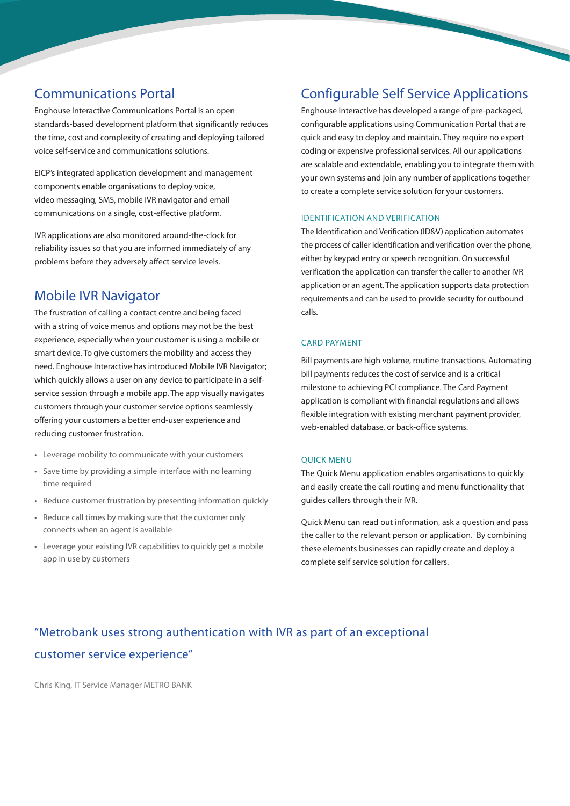# Communications Portal

Enghouse Interactive Communications Portal is an open standards-based development platform that significantly reduces the time, cost and complexity of creating and deploying tailored voice self-service and communications solutions.

EICP's integrated application development and management components enable organisations to deploy voice, video messaging, SMS, mobile IVR navigator and email communications on a single, cost-effective platform.

IVR applications are also monitored around-the-clock for reliability issues so that you are informed immediately of any problems before they adversely affect service levels.

# Mobile IVR Navigator

The frustration of calling a contact centre and being faced with a string of voice menus and options may not be the best experience, especially when your customer is using a mobile or smart device. To give customers the mobility and access they need. Enghouse Interactive has introduced Mobile IVR Navigator; which quickly allows a user on any device to participate in a selfservice session through a mobile app. The app visually navigates customers through your customer service options seamlessly offering your customers a better end-user experience and reducing customer frustration.

- • Leverage mobility to communicate with your customers
- Save time by providing a simple interface with no learning time required
- • Reduce customer frustration by presenting information quickly
- • Reduce call times by making sure that the customer only connects when an agent is available
- • Leverage your existing IVR capabilities to quickly get a mobile app in use by customers

# Configurable Self Service Applications

Enghouse Interactive has developed a range of pre-packaged, configurable applications using Communication Portal that are quick and easy to deploy and maintain. They require no expert coding or expensive professional services. All our applications are scalable and extendable, enabling you to integrate them with your own systems and join any number of applications together to create a complete service solution for your customers.

#### IDENTIFICATION AND VERIFICATION

The Identification and Verification (ID&V) application automates the process of caller identification and verification over the phone, either by keypad entry or speech recognition. On successful verification the application can transfer the caller to another IVR application or an agent. The application supports data protection requirements and can be used to provide security for outbound calls.

#### CARD PAYMENT

Bill payments are high volume, routine transactions. Automating bill payments reduces the cost of service and is a critical milestone to achieving PCI compliance. The Card Payment application is compliant with financial regulations and allows flexible integration with existing merchant payment provider, web-enabled database, or back-office systems.

#### QUICK MENU

The Quick Menu application enables organisations to quickly and easily create the call routing and menu functionality that guides callers through their IVR.

Quick Menu can read out information, ask a question and pass the caller to the relevant person or application. By combining these elements businesses can rapidly create and deploy a complete self service solution for callers.

# "Metrobank uses strong authentication with IVR as part of an exceptional customer service experience"

Chris King, IT Service Manager METRO BANK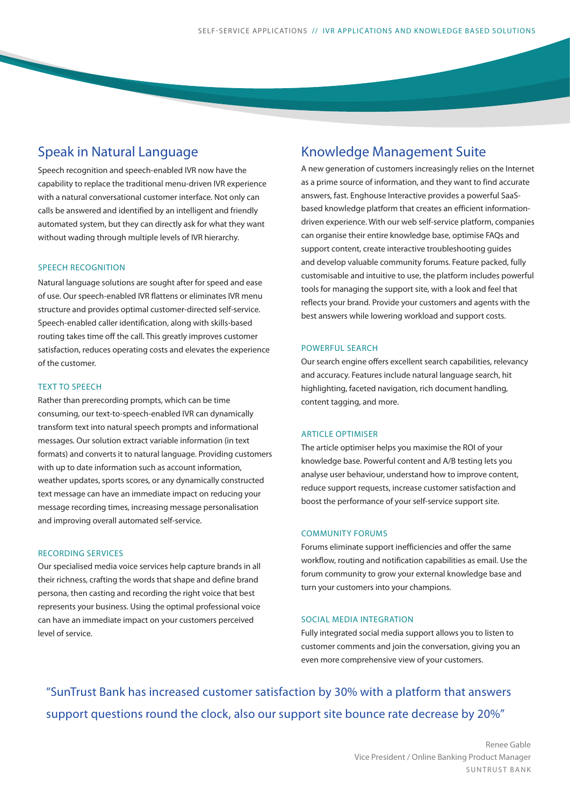### Speak in Natural Language

Speech recognition and speech-enabled IVR now have the capability to replace the traditional menu-driven IVR experience with a natural conversational customer interface. Not only can calls be answered and identified by an intelligent and friendly automated system, but they can directly ask for what they want without wading through multiple levels of IVR hierarchy.

#### SPEECH RECOGNITION

Natural language solutions are sought after for speed and ease of use. Our speech-enabled IVR flattens or eliminates IVR menu structure and provides optimal customer-directed self-service. Speech-enabled caller identification, along with skills-based routing takes time off the call. This greatly improves customer satisfaction, reduces operating costs and elevates the experience of the customer.

#### TEXT TO SPEECH

Rather than prerecording prompts, which can be time consuming, our text-to-speech-enabled IVR can dynamically transform text into natural speech prompts and informational messages. Our solution extract variable information (in text formats) and converts it to natural language. Providing customers with up to date information such as account information, weather updates, sports scores, or any dynamically constructed text message can have an immediate impact on reducing your message recording times, increasing message personalisation and improving overall automated self-service.

#### RECORDING SERVICES

Our specialised media voice services help capture brands in all their richness, crafting the words that shape and define brand persona, then casting and recording the right voice that best represents your business. Using the optimal professional voice can have an immediate impact on your customers perceived level of service.

### Knowledge Management Suite

A new generation of customers increasingly relies on the Internet as a prime source of information, and they want to find accurate answers, fast. Enghouse Interactive provides a powerful SaaSbased knowledge platform that creates an efficient informationdriven experience. With our web self-service platform, companies can organise their entire knowledge base, optimise FAQs and support content, create interactive troubleshooting guides and develop valuable community forums. Feature packed, fully customisable and intuitive to use, the platform includes powerful tools for managing the support site, with a look and feel that reflects your brand. Provide your customers and agents with the best answers while lowering workload and support costs.

#### POWERFUL SEARCH

Our search engine offers excellent search capabilities, relevancy and accuracy. Features include natural language search, hit highlighting, faceted navigation, rich document handling, content tagging, and more.

#### ARTICLE OPTIMISER

The article optimiser helps you maximise the ROI of your knowledge base. Powerful content and A/B testing lets you analyse user behaviour, understand how to improve content, reduce support requests, increase customer satisfaction and boost the performance of your self-service support site.

#### COMMUNITY FORUMS

Forums eliminate support inefficiencies and offer the same workflow, routing and notification capabilities as email. Use the forum community to grow your external knowledge base and turn your customers into your champions.

#### SOCIAL MEDIA INTEGRATION

Fully integrated social media support allows you to listen to customer comments and join the conversation, giving you an even more comprehensive view of your customers.

"SunTrust Bank has increased customer satisfaction by 30% with a platform that answers support questions round the clock, also our support site bounce rate decrease by 20%"